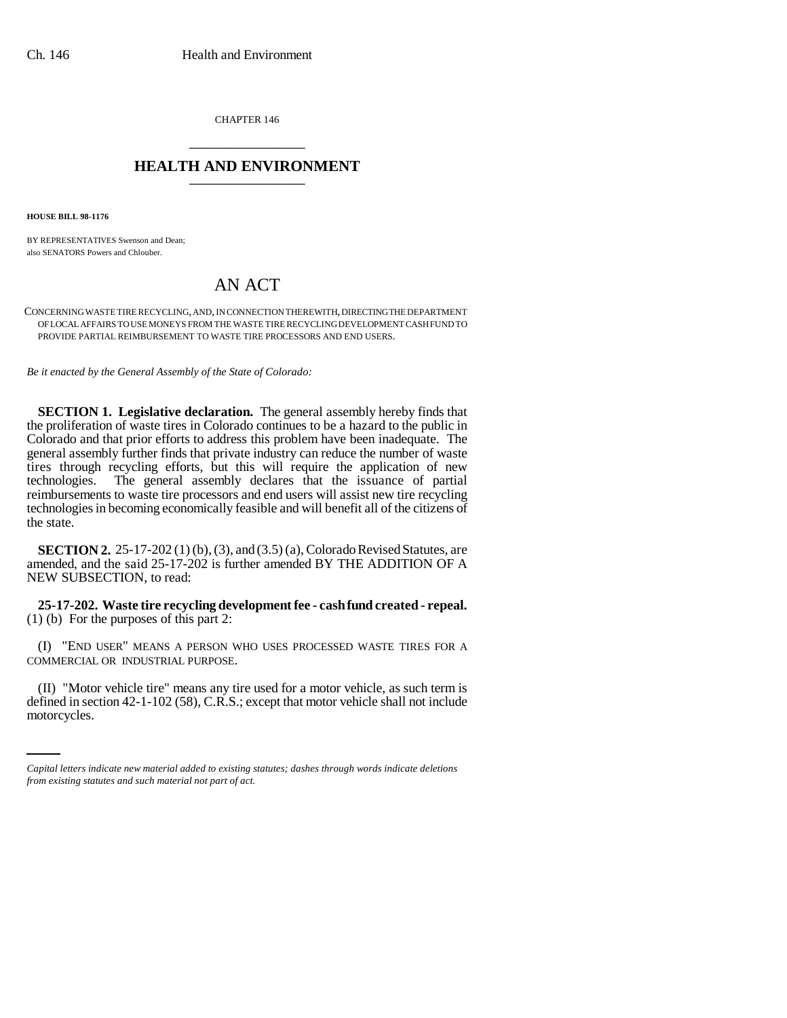CHAPTER 146 \_\_\_\_\_\_\_\_\_\_\_\_\_\_\_

## **HEALTH AND ENVIRONMENT** \_\_\_\_\_\_\_\_\_\_\_\_\_\_\_

**HOUSE BILL 98-1176**

BY REPRESENTATIVES Swenson and Dean; also SENATORS Powers and Chlouber.

## AN ACT

CONCERNING WASTE TIRE RECYCLING, AND, IN CONNECTION THEREWITH, DIRECTING THE DEPARTMENT OF LOCAL AFFAIRS TO USE MONEYS FROM THE WASTE TIRE RECYCLING DEVELOPMENT CASH FUND TO PROVIDE PARTIAL REIMBURSEMENT TO WASTE TIRE PROCESSORS AND END USERS.

*Be it enacted by the General Assembly of the State of Colorado:*

**SECTION 1. Legislative declaration.** The general assembly hereby finds that the proliferation of waste tires in Colorado continues to be a hazard to the public in Colorado and that prior efforts to address this problem have been inadequate. The general assembly further finds that private industry can reduce the number of waste tires through recycling efforts, but this will require the application of new The general assembly declares that the issuance of partial reimbursements to waste tire processors and end users will assist new tire recycling technologies in becoming economically feasible and will benefit all of the citizens of the state.

**SECTION 2.** 25-17-202 (1) (b), (3), and (3.5) (a), Colorado Revised Statutes, are amended, and the said 25-17-202 is further amended BY THE ADDITION OF A NEW SUBSECTION, to read:

**25-17-202. Waste tire recycling development fee - cash fund created - repeal.** (1) (b) For the purposes of this part 2:

(I) "END USER" MEANS A PERSON WHO USES PROCESSED WASTE TIRES FOR A COMMERCIAL OR INDUSTRIAL PURPOSE.

(II) "Motor vehicle tire" means any tire used for a motor vehicle, as such term is defined in section 42-1-102 (58), C.R.S.; except that motor vehicle shall not include motorcycles.

*Capital letters indicate new material added to existing statutes; dashes through words indicate deletions from existing statutes and such material not part of act.*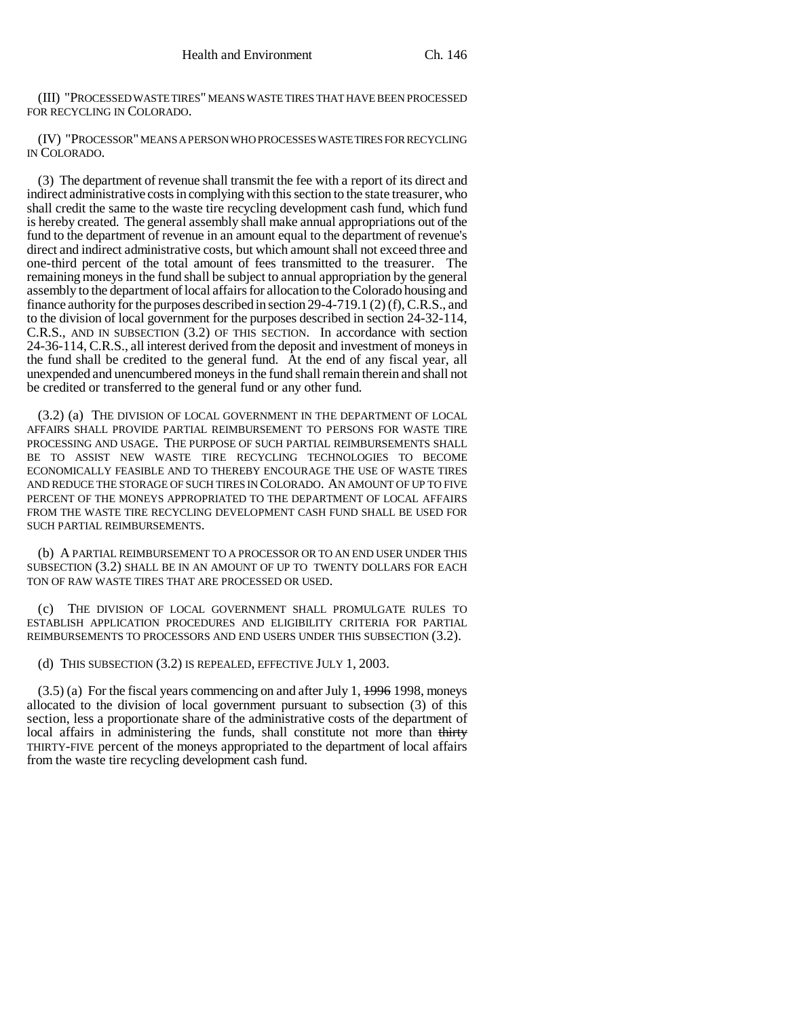(III) "PROCESSED WASTE TIRES" MEANS WASTE TIRES THAT HAVE BEEN PROCESSED FOR RECYCLING IN COLORADO.

(IV) "PROCESSOR" MEANS A PERSON WHO PROCESSES WASTE TIRES FOR RECYCLING IN COLORADO.

(3) The department of revenue shall transmit the fee with a report of its direct and indirect administrative costs in complying with this section to the state treasurer, who shall credit the same to the waste tire recycling development cash fund, which fund is hereby created. The general assembly shall make annual appropriations out of the fund to the department of revenue in an amount equal to the department of revenue's direct and indirect administrative costs, but which amount shall not exceed three and one-third percent of the total amount of fees transmitted to the treasurer. The remaining moneys in the fund shall be subject to annual appropriation by the general assembly to the department of local affairs for allocation to the Colorado housing and finance authority for the purposes described in section 29-4-719.1 (2) (f), C.R.S., and to the division of local government for the purposes described in section 24-32-114, C.R.S., AND IN SUBSECTION (3.2) OF THIS SECTION. In accordance with section 24-36-114, C.R.S., all interest derived from the deposit and investment of moneys in the fund shall be credited to the general fund. At the end of any fiscal year, all unexpended and unencumbered moneys in the fund shall remain therein and shall not be credited or transferred to the general fund or any other fund.

(3.2) (a) THE DIVISION OF LOCAL GOVERNMENT IN THE DEPARTMENT OF LOCAL AFFAIRS SHALL PROVIDE PARTIAL REIMBURSEMENT TO PERSONS FOR WASTE TIRE PROCESSING AND USAGE. THE PURPOSE OF SUCH PARTIAL REIMBURSEMENTS SHALL BE TO ASSIST NEW WASTE TIRE RECYCLING TECHNOLOGIES TO BECOME ECONOMICALLY FEASIBLE AND TO THEREBY ENCOURAGE THE USE OF WASTE TIRES AND REDUCE THE STORAGE OF SUCH TIRES IN COLORADO. AN AMOUNT OF UP TO FIVE PERCENT OF THE MONEYS APPROPRIATED TO THE DEPARTMENT OF LOCAL AFFAIRS FROM THE WASTE TIRE RECYCLING DEVELOPMENT CASH FUND SHALL BE USED FOR SUCH PARTIAL REIMBURSEMENTS.

(b) A PARTIAL REIMBURSEMENT TO A PROCESSOR OR TO AN END USER UNDER THIS SUBSECTION (3.2) SHALL BE IN AN AMOUNT OF UP TO TWENTY DOLLARS FOR EACH TON OF RAW WASTE TIRES THAT ARE PROCESSED OR USED.

(c) THE DIVISION OF LOCAL GOVERNMENT SHALL PROMULGATE RULES TO ESTABLISH APPLICATION PROCEDURES AND ELIGIBILITY CRITERIA FOR PARTIAL REIMBURSEMENTS TO PROCESSORS AND END USERS UNDER THIS SUBSECTION (3.2).

(d) THIS SUBSECTION (3.2) IS REPEALED, EFFECTIVE JULY 1, 2003.

 $(3.5)$  (a) For the fiscal years commencing on and after July 1,  $\frac{1996}{1998}$ , moneys allocated to the division of local government pursuant to subsection (3) of this section, less a proportionate share of the administrative costs of the department of local affairs in administering the funds, shall constitute not more than thirty THIRTY-FIVE percent of the moneys appropriated to the department of local affairs from the waste tire recycling development cash fund.